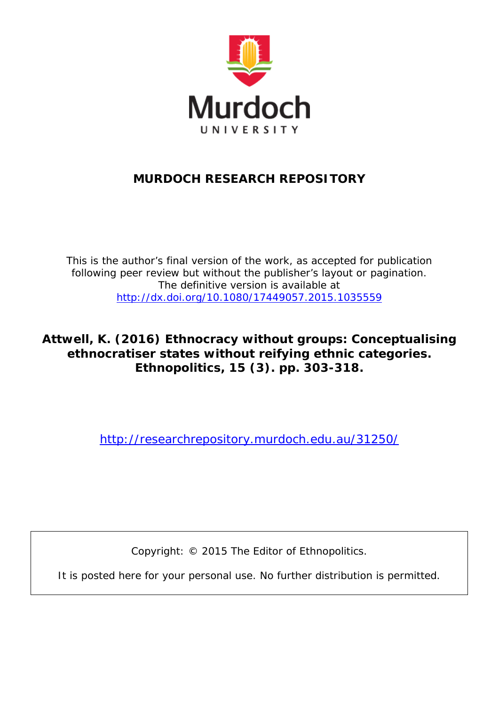

## **MURDOCH RESEARCH REPOSITORY**

*This is the author's final version of the work, as accepted for publication following peer review but without the publisher's layout or pagination. The definitive version is available at <http://dx.doi.org/10.1080/17449057.2015.1035559>*

**Attwell, K. (2016) Ethnocracy without groups: Conceptualising ethnocratiser states without reifying ethnic categories. Ethnopolitics, 15 (3). pp. 303-318.**

<http://researchrepository.murdoch.edu.au/31250/>

Copyright: © 2015 The Editor of Ethnopolitics.

It is posted here for your personal use. No further distribution is permitted.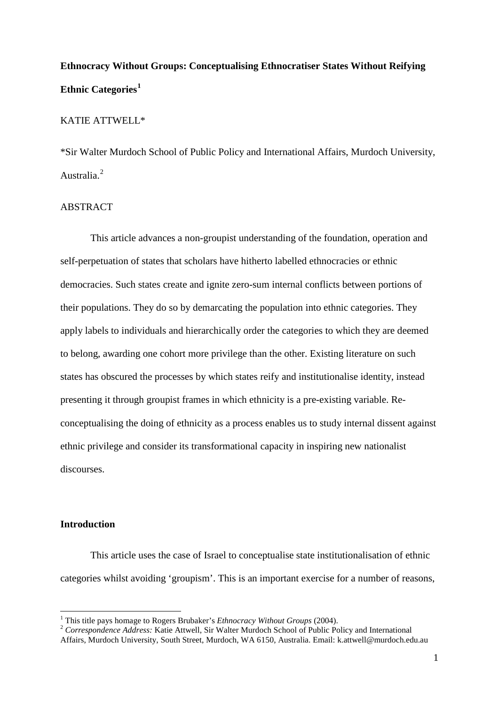# **Ethnocracy Without Groups: Conceptualising Ethnocratiser States Without Reifying Ethnic Categories[1](#page-1-0)**

## KATIE ATTWELL\*

\*Sir Walter Murdoch School of Public Policy and International Affairs, Murdoch University, Australia.<sup>[2](#page-1-1)</sup>

### ABSTRACT

This article advances a non-groupist understanding of the foundation, operation and self-perpetuation of states that scholars have hitherto labelled ethnocracies or ethnic democracies. Such states create and ignite zero-sum internal conflicts between portions of their populations. They do so by demarcating the population into ethnic categories. They apply labels to individuals and hierarchically order the categories to which they are deemed to belong, awarding one cohort more privilege than the other. Existing literature on such states has obscured the processes by which states reify and institutionalise identity, instead presenting it through groupist frames in which ethnicity is a pre-existing variable. Reconceptualising the doing of ethnicity as a process enables us to study internal dissent against ethnic privilege and consider its transformational capacity in inspiring new nationalist discourses.

#### **Introduction**

This article uses the case of Israel to conceptualise state institutionalisation of ethnic categories whilst avoiding 'groupism'. This is an important exercise for a number of reasons,

<span id="page-1-1"></span><span id="page-1-0"></span><sup>&</sup>lt;sup>1</sup> This title pays homage to Rogers Brubaker's *Ethnocracy Without Groups* (2004).<br><sup>2</sup> *Correspondence Address:* Katie Attwell, Sir Walter Murdoch School of Public Policy and International Affairs, Murdoch University, South Street, Murdoch, WA 6150, Australia. Email: k.attwell@murdoch.edu.au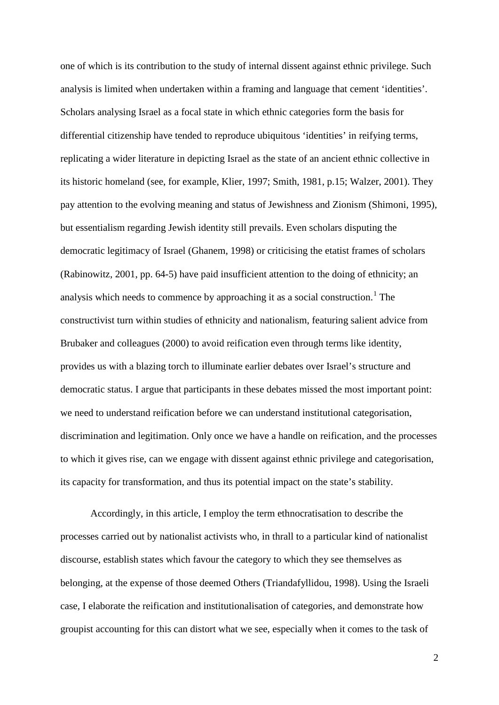one of which is its contribution to the study of internal dissent against ethnic privilege. Such analysis is limited when undertaken within a framing and language that cement 'identities'. Scholars analysing Israel as a focal state in which ethnic categories form the basis for differential citizenship have tended to reproduce ubiquitous 'identities' in reifying terms, replicating a wider literature in depicting Israel as the state of an ancient ethnic collective in its historic homeland (see, for example, Klier, 1997; Smith, 1981, p.15; Walzer, 2001). They pay attention to the evolving meaning and status of Jewishness and Zionism (Shimoni, 1995), but essentialism regarding Jewish identity still prevails. Even scholars disputing the democratic legitimacy of Israel (Ghanem, 1998) or criticising the etatist frames of scholars (Rabinowitz, 2001, pp. 64-5) have paid insufficient attention to the doing of ethnicity; an analysis which needs to commence by approaching it as a social construction.<sup>[1](#page-26-0)</sup> The constructivist turn within studies of ethnicity and nationalism, featuring salient advice from Brubaker and colleagues (2000) to avoid reification even through terms like identity, provides us with a blazing torch to illuminate earlier debates over Israel's structure and democratic status. I argue that participants in these debates missed the most important point: we need to understand reification before we can understand institutional categorisation, discrimination and legitimation. Only once we have a handle on reification, and the processes to which it gives rise, can we engage with dissent against ethnic privilege and categorisation, its capacity for transformation, and thus its potential impact on the state's stability.

Accordingly, in this article, I employ the term ethnocratisation to describe the processes carried out by nationalist activists who, in thrall to a particular kind of nationalist discourse, establish states which favour the category to which they see themselves as belonging, at the expense of those deemed Others (Triandafyllidou, 1998). Using the Israeli case, I elaborate the reification and institutionalisation of categories, and demonstrate how groupist accounting for this can distort what we see, especially when it comes to the task of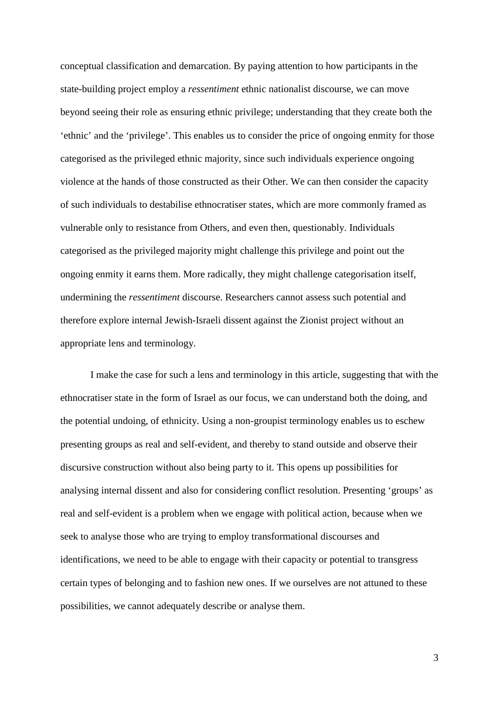conceptual classification and demarcation. By paying attention to how participants in the state-building project employ a *ressentiment* ethnic nationalist discourse, we can move beyond seeing their role as ensuring ethnic privilege; understanding that they create both the 'ethnic' and the 'privilege'. This enables us to consider the price of ongoing enmity for those categorised as the privileged ethnic majority, since such individuals experience ongoing violence at the hands of those constructed as their Other. We can then consider the capacity of such individuals to destabilise ethnocratiser states, which are more commonly framed as vulnerable only to resistance from Others, and even then, questionably. Individuals categorised as the privileged majority might challenge this privilege and point out the ongoing enmity it earns them. More radically, they might challenge categorisation itself, undermining the *ressentiment* discourse. Researchers cannot assess such potential and therefore explore internal Jewish-Israeli dissent against the Zionist project without an appropriate lens and terminology.

I make the case for such a lens and terminology in this article, suggesting that with the ethnocratiser state in the form of Israel as our focus, we can understand both the doing, and the potential undoing, of ethnicity. Using a non-groupist terminology enables us to eschew presenting groups as real and self-evident, and thereby to stand outside and observe their discursive construction without also being party to it. This opens up possibilities for analysing internal dissent and also for considering conflict resolution. Presenting 'groups' as real and self-evident is a problem when we engage with political action, because when we seek to analyse those who are trying to employ transformational discourses and identifications, we need to be able to engage with their capacity or potential to transgress certain types of belonging and to fashion new ones. If we ourselves are not attuned to these possibilities, we cannot adequately describe or analyse them.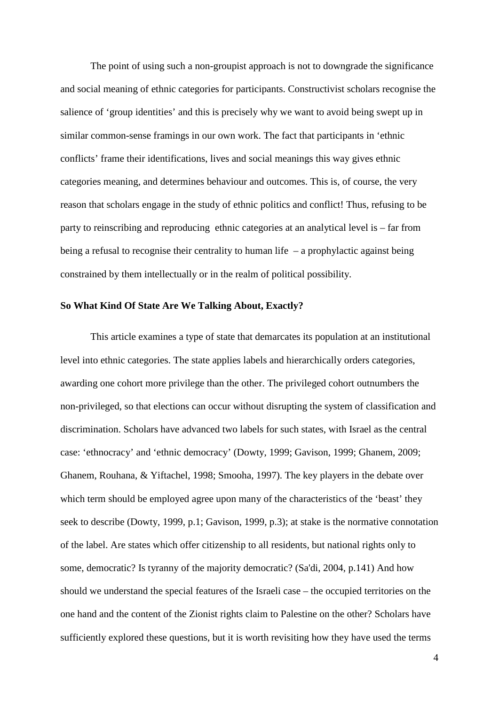The point of using such a non-groupist approach is not to downgrade the significance and social meaning of ethnic categories for participants. Constructivist scholars recognise the salience of 'group identities' and this is precisely why we want to avoid being swept up in similar common-sense framings in our own work. The fact that participants in 'ethnic conflicts' frame their identifications, lives and social meanings this way gives ethnic categories meaning, and determines behaviour and outcomes. This is, of course, the very reason that scholars engage in the study of ethnic politics and conflict! Thus, refusing to be party to reinscribing and reproducing ethnic categories at an analytical level is – far from being a refusal to recognise their centrality to human life  $-$  a prophylactic against being constrained by them intellectually or in the realm of political possibility.

#### **So What Kind Of State Are We Talking About, Exactly?**

This article examines a type of state that demarcates its population at an institutional level into ethnic categories. The state applies labels and hierarchically orders categories, awarding one cohort more privilege than the other. The privileged cohort outnumbers the non-privileged, so that elections can occur without disrupting the system of classification and discrimination. Scholars have advanced two labels for such states, with Israel as the central case: 'ethnocracy' and 'ethnic democracy' (Dowty, 1999; Gavison, 1999; Ghanem, 2009; Ghanem, Rouhana, & Yiftachel, 1998; Smooha, 1997). The key players in the debate over which term should be employed agree upon many of the characteristics of the 'beast' they seek to describe (Dowty, 1999, p.1; Gavison, 1999, p.3); at stake is the normative connotation of the label. Are states which offer citizenship to all residents, but national rights only to some, democratic? Is tyranny of the majority democratic? (Sa'di, 2004, p.141) And how should we understand the special features of the Israeli case – the occupied territories on the one hand and the content of the Zionist rights claim to Palestine on the other? Scholars have sufficiently explored these questions, but it is worth revisiting how they have used the terms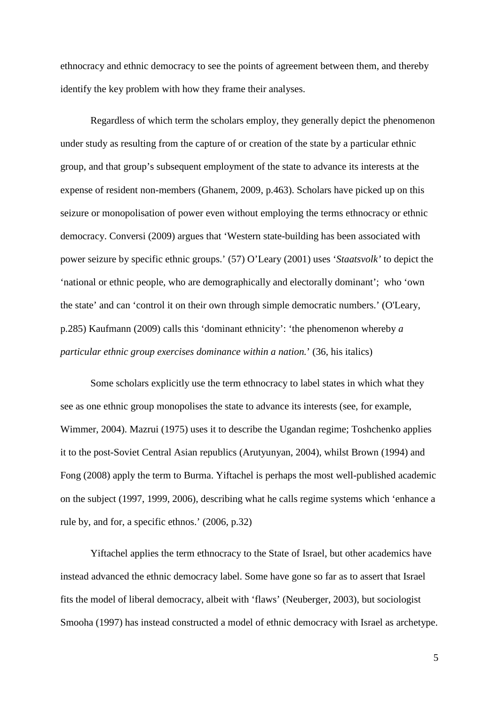ethnocracy and ethnic democracy to see the points of agreement between them, and thereby identify the key problem with how they frame their analyses.

Regardless of which term the scholars employ, they generally depict the phenomenon under study as resulting from the capture of or creation of the state by a particular ethnic group, and that group's subsequent employment of the state to advance its interests at the expense of resident non-members (Ghanem, 2009, p.463). Scholars have picked up on this seizure or monopolisation of power even without employing the terms ethnocracy or ethnic democracy. Conversi (2009) argues that 'Western state-building has been associated with power seizure by specific ethnic groups.' (57) O'Leary (2001) uses '*Staatsvolk'* to depict the 'national or ethnic people, who are demographically and electorally dominant'; who 'own the state' and can 'control it on their own through simple democratic numbers.' (O'Leary, p.285) Kaufmann (2009) calls this 'dominant ethnicity': 'the phenomenon whereby *a particular ethnic group exercises dominance within a nation.*' (36, his italics)

Some scholars explicitly use the term ethnocracy to label states in which what they see as one ethnic group monopolises the state to advance its interests (see, for example, Wimmer, 2004). Mazrui (1975) uses it to describe the Ugandan regime; Toshchenko applies it to the post-Soviet Central Asian republics (Arutyunyan, 2004), whilst Brown (1994) and Fong (2008) apply the term to Burma. Yiftachel is perhaps the most well-published academic on the subject (1997, 1999, 2006), describing what he calls regime systems which 'enhance a rule by, and for, a specific ethnos.' (2006, p.32)

Yiftachel applies the term ethnocracy to the State of Israel, but other academics have instead advanced the ethnic democracy label. Some have gone so far as to assert that Israel fits the model of liberal democracy, albeit with 'flaws' (Neuberger, 2003), but sociologist Smooha (1997) has instead constructed a model of ethnic democracy with Israel as archetype.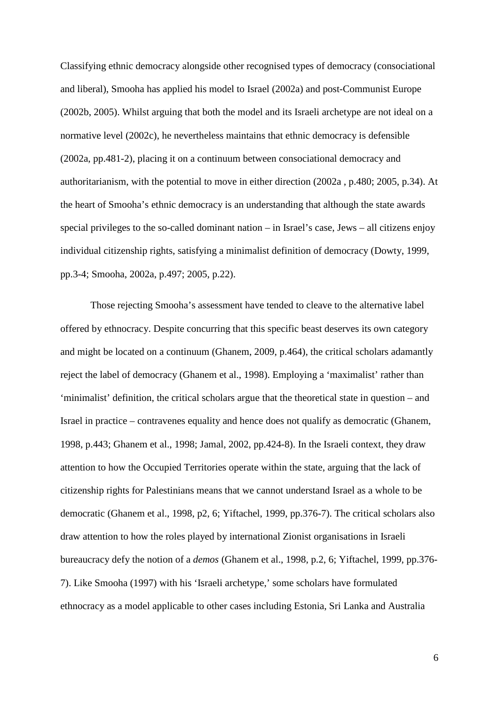Classifying ethnic democracy alongside other recognised types of democracy (consociational and liberal), Smooha has applied his model to Israel (2002a) and post-Communist Europe (2002b, 2005). Whilst arguing that both the model and its Israeli archetype are not ideal on a normative level (2002c), he nevertheless maintains that ethnic democracy is defensible (2002a, pp.481-2), placing it on a continuum between consociational democracy and authoritarianism, with the potential to move in either direction (2002a , p.480; 2005, p.34). At the heart of Smooha's ethnic democracy is an understanding that although the state awards special privileges to the so-called dominant nation – in Israel's case, Jews – all citizens enjoy individual citizenship rights, satisfying a minimalist definition of democracy (Dowty, 1999, pp.3-4; Smooha, 2002a, p.497; 2005, p.22).

Those rejecting Smooha's assessment have tended to cleave to the alternative label offered by ethnocracy. Despite concurring that this specific beast deserves its own category and might be located on a continuum (Ghanem, 2009, p.464), the critical scholars adamantly reject the label of democracy (Ghanem et al., 1998). Employing a 'maximalist' rather than 'minimalist' definition, the critical scholars argue that the theoretical state in question – and Israel in practice – contravenes equality and hence does not qualify as democratic (Ghanem, 1998, p.443; Ghanem et al., 1998; Jamal, 2002, pp.424-8). In the Israeli context, they draw attention to how the Occupied Territories operate within the state, arguing that the lack of citizenship rights for Palestinians means that we cannot understand Israel as a whole to be democratic (Ghanem et al., 1998, p2, 6; Yiftachel, 1999, pp.376-7). The critical scholars also draw attention to how the roles played by international Zionist organisations in Israeli bureaucracy defy the notion of a *demos* (Ghanem et al., 1998, p.2, 6; Yiftachel, 1999, pp.376- 7). Like Smooha (1997) with his 'Israeli archetype,' some scholars have formulated ethnocracy as a model applicable to other cases including Estonia, Sri Lanka and Australia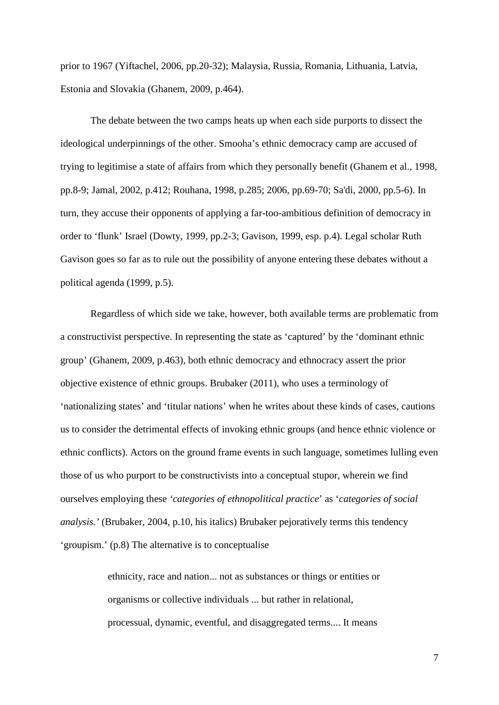prior to 1967 (Yiftachel, 2006, pp.20-32); Malaysia, Russia, Romania, Lithuania, Latvia, Estonia and Slovakia (Ghanem, 2009, p.464).

The debate between the two camps heats up when each side purports to dissect the ideological underpinnings of the other. Smooha's ethnic democracy camp are accused of trying to legitimise a state of affairs from which they personally benefit (Ghanem et al., 1998, pp.8-9; Jamal, 2002, p.412; Rouhana, 1998, p.285; 2006, pp.69-70; Sa'di, 2000, pp.5-6). In turn, they accuse their opponents of applying a far-too-ambitious definition of democracy in order to 'flunk' Israel (Dowty, 1999, pp.2-3; Gavison, 1999, esp. p.4). Legal scholar Ruth Gavison goes so far as to rule out the possibility of anyone entering these debates without a political agenda (1999, p.5).

Regardless of which side we take, however, both available terms are problematic from a constructivist perspective. In representing the state as 'captured' by the 'dominant ethnic group' (Ghanem, 2009, p.463), both ethnic democracy and ethnocracy assert the prior objective existence of ethnic groups. Brubaker (2011), who uses a terminology of 'nationalizing states' and 'titular nations' when he writes about these kinds of cases, cautions us to consider the detrimental effects of invoking ethnic groups (and hence ethnic violence or ethnic conflicts). Actors on the ground frame events in such language, sometimes lulling even those of us who purport to be constructivists into a conceptual stupor, wherein we find ourselves employing these *'categories of ethnopolitical practice*' as '*categories of social analysis.'* (Brubaker, 2004, p.10, his italics) Brubaker pejoratively terms this tendency 'groupism.' (p.8) The alternative is to conceptualise

> ethnicity, race and nation... not as substances or things or entities or organisms or collective individuals ... but rather in relational, processual, dynamic, eventful, and disaggregated terms.... It means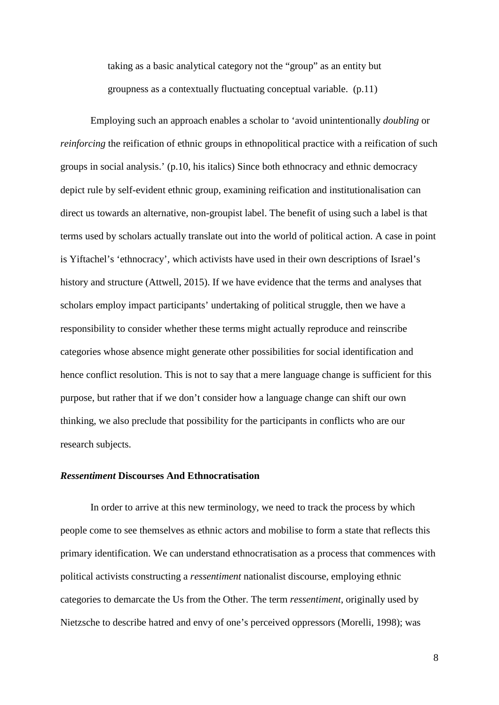taking as a basic analytical category not the "group" as an entity but groupness as a contextually fluctuating conceptual variable. (p.11)

Employing such an approach enables a scholar to 'avoid unintentionally *doubling* or *reinforcing* the reification of ethnic groups in ethnopolitical practice with a reification of such groups in social analysis.' (p.10, his italics) Since both ethnocracy and ethnic democracy depict rule by self-evident ethnic group, examining reification and institutionalisation can direct us towards an alternative, non-groupist label. The benefit of using such a label is that terms used by scholars actually translate out into the world of political action. A case in point is Yiftachel's 'ethnocracy', which activists have used in their own descriptions of Israel's history and structure (Attwell, 2015). If we have evidence that the terms and analyses that scholars employ impact participants' undertaking of political struggle, then we have a responsibility to consider whether these terms might actually reproduce and reinscribe categories whose absence might generate other possibilities for social identification and hence conflict resolution. This is not to say that a mere language change is sufficient for this purpose, but rather that if we don't consider how a language change can shift our own thinking, we also preclude that possibility for the participants in conflicts who are our research subjects.

## *Ressentiment* **Discourses And Ethnocratisation**

In order to arrive at this new terminology, we need to track the process by which people come to see themselves as ethnic actors and mobilise to form a state that reflects this primary identification. We can understand ethnocratisation as a process that commences with political activists constructing a *ressentiment* nationalist discourse, employing ethnic categories to demarcate the Us from the Other. The term *ressentiment*, originally used by Nietzsche to describe hatred and envy of one's perceived oppressors (Morelli, 1998); was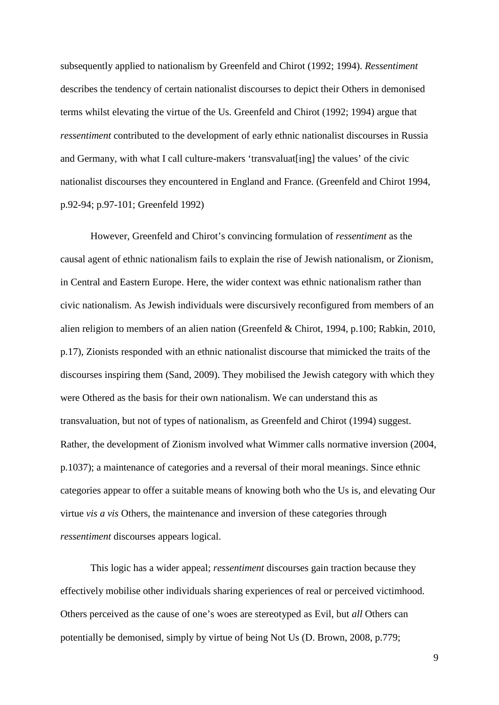subsequently applied to nationalism by Greenfeld and Chirot (1992; 1994). *Ressentiment*  describes the tendency of certain nationalist discourses to depict their Others in demonised terms whilst elevating the virtue of the Us. Greenfeld and Chirot (1992; 1994) argue that *ressentiment* contributed to the development of early ethnic nationalist discourses in Russia and Germany, with what I call culture-makers 'transvaluat[ing] the values' of the civic nationalist discourses they encountered in England and France. (Greenfeld and Chirot 1994, p.92-94; p.97-101; Greenfeld 1992)

However, Greenfeld and Chirot's convincing formulation of *ressentiment* as the causal agent of ethnic nationalism fails to explain the rise of Jewish nationalism, or Zionism, in Central and Eastern Europe. Here, the wider context was ethnic nationalism rather than civic nationalism. As Jewish individuals were discursively reconfigured from members of an alien religion to members of an alien nation (Greenfeld & Chirot, 1994, p.100; Rabkin, 2010, p.17), Zionists responded with an ethnic nationalist discourse that mimicked the traits of the discourses inspiring them (Sand, 2009). They mobilised the Jewish category with which they were Othered as the basis for their own nationalism. We can understand this as transvaluation, but not of types of nationalism, as Greenfeld and Chirot (1994) suggest. Rather, the development of Zionism involved what Wimmer calls normative inversion (2004, p.1037); a maintenance of categories and a reversal of their moral meanings. Since ethnic categories appear to offer a suitable means of knowing both who the Us is, and elevating Our virtue *vis a vis* Others, the maintenance and inversion of these categories through *ressentiment* discourses appears logical.

This logic has a wider appeal; *ressentiment* discourses gain traction because they effectively mobilise other individuals sharing experiences of real or perceived victimhood. Others perceived as the cause of one's woes are stereotyped as Evil, but *all* Others can potentially be demonised, simply by virtue of being Not Us (D. Brown, 2008, p.779;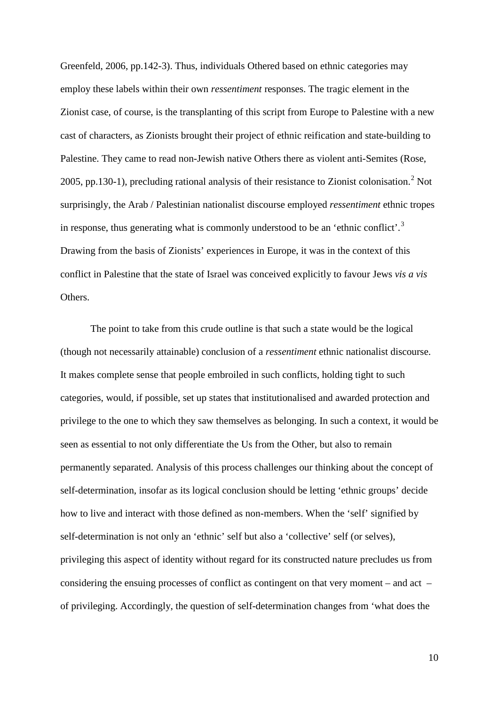Greenfeld, 2006, pp.142-3). Thus, individuals Othered based on ethnic categories may employ these labels within their own *ressentiment* responses. The tragic element in the Zionist case, of course, is the transplanting of this script from Europe to Palestine with a new cast of characters, as Zionists brought their project of ethnic reification and state-building to Palestine. They came to read non-Jewish native Others there as violent anti-Semites (Rose, [2](#page-27-0)005, pp.130-1), precluding rational analysis of their resistance to Zionist colonisation.<sup>2</sup> Not surprisingly, the Arab / Palestinian nationalist discourse employed *ressentiment* ethnic tropes in response, thus generating what is commonly understood to be an 'ethnic conflict'.[3](#page-27-1) Drawing from the basis of Zionists' experiences in Europe, it was in the context of this conflict in Palestine that the state of Israel was conceived explicitly to favour Jews *vis a vis*  Others.

The point to take from this crude outline is that such a state would be the logical (though not necessarily attainable) conclusion of a *ressentiment* ethnic nationalist discourse. It makes complete sense that people embroiled in such conflicts, holding tight to such categories, would, if possible, set up states that institutionalised and awarded protection and privilege to the one to which they saw themselves as belonging. In such a context, it would be seen as essential to not only differentiate the Us from the Other, but also to remain permanently separated. Analysis of this process challenges our thinking about the concept of self-determination, insofar as its logical conclusion should be letting 'ethnic groups' decide how to live and interact with those defined as non-members. When the 'self' signified by self-determination is not only an 'ethnic' self but also a 'collective' self (or selves), privileging this aspect of identity without regard for its constructed nature precludes us from considering the ensuing processes of conflict as contingent on that very moment – and act – of privileging. Accordingly, the question of self-determination changes from 'what does the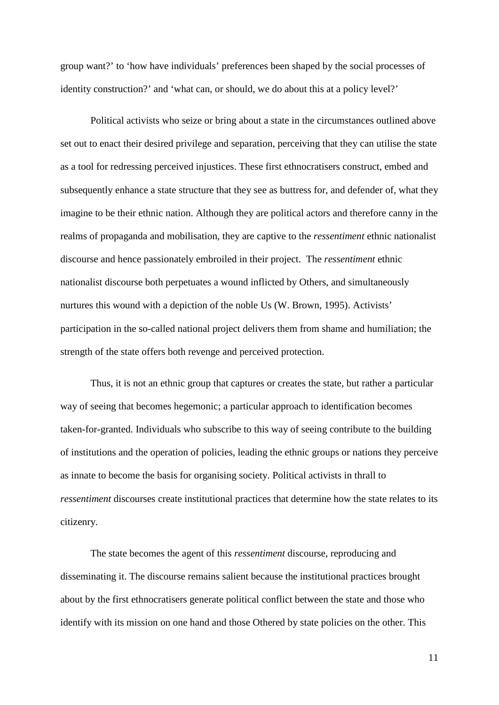group want?' to 'how have individuals' preferences been shaped by the social processes of identity construction?' and 'what can, or should, we do about this at a policy level?'

Political activists who seize or bring about a state in the circumstances outlined above set out to enact their desired privilege and separation, perceiving that they can utilise the state as a tool for redressing perceived injustices. These first ethnocratisers construct, embed and subsequently enhance a state structure that they see as buttress for, and defender of, what they imagine to be their ethnic nation. Although they are political actors and therefore canny in the realms of propaganda and mobilisation, they are captive to the *ressentiment* ethnic nationalist discourse and hence passionately embroiled in their project. The *ressentiment* ethnic nationalist discourse both perpetuates a wound inflicted by Others, and simultaneously nurtures this wound with a depiction of the noble Us (W. Brown, 1995). Activists' participation in the so-called national project delivers them from shame and humiliation; the strength of the state offers both revenge and perceived protection.

Thus, it is not an ethnic group that captures or creates the state, but rather a particular way of seeing that becomes hegemonic; a particular approach to identification becomes taken-for-granted. Individuals who subscribe to this way of seeing contribute to the building of institutions and the operation of policies, leading the ethnic groups or nations they perceive as innate to become the basis for organising society. Political activists in thrall to *ressentiment* discourses create institutional practices that determine how the state relates to its citizenry.

The state becomes the agent of this *ressentiment* discourse, reproducing and disseminating it. The discourse remains salient because the institutional practices brought about by the first ethnocratisers generate political conflict between the state and those who identify with its mission on one hand and those Othered by state policies on the other. This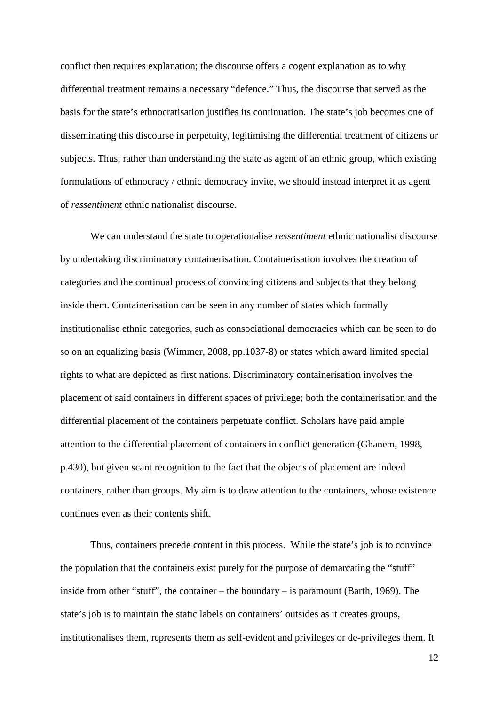conflict then requires explanation; the discourse offers a cogent explanation as to why differential treatment remains a necessary "defence." Thus, the discourse that served as the basis for the state's ethnocratisation justifies its continuation. The state's job becomes one of disseminating this discourse in perpetuity, legitimising the differential treatment of citizens or subjects. Thus, rather than understanding the state as agent of an ethnic group, which existing formulations of ethnocracy / ethnic democracy invite, we should instead interpret it as agent of *ressentiment* ethnic nationalist discourse.

We can understand the state to operationalise *ressentiment* ethnic nationalist discourse by undertaking discriminatory containerisation. Containerisation involves the creation of categories and the continual process of convincing citizens and subjects that they belong inside them. Containerisation can be seen in any number of states which formally institutionalise ethnic categories, such as consociational democracies which can be seen to do so on an equalizing basis (Wimmer, 2008, pp.1037-8) or states which award limited special rights to what are depicted as first nations. Discriminatory containerisation involves the placement of said containers in different spaces of privilege; both the containerisation and the differential placement of the containers perpetuate conflict. Scholars have paid ample attention to the differential placement of containers in conflict generation (Ghanem, 1998, p.430), but given scant recognition to the fact that the objects of placement are indeed containers, rather than groups. My aim is to draw attention to the containers, whose existence continues even as their contents shift.

Thus, containers precede content in this process. While the state's job is to convince the population that the containers exist purely for the purpose of demarcating the "stuff" inside from other "stuff", the container – the boundary – is paramount (Barth, 1969). The state's job is to maintain the static labels on containers' outsides as it creates groups, institutionalises them, represents them as self-evident and privileges or de-privileges them. It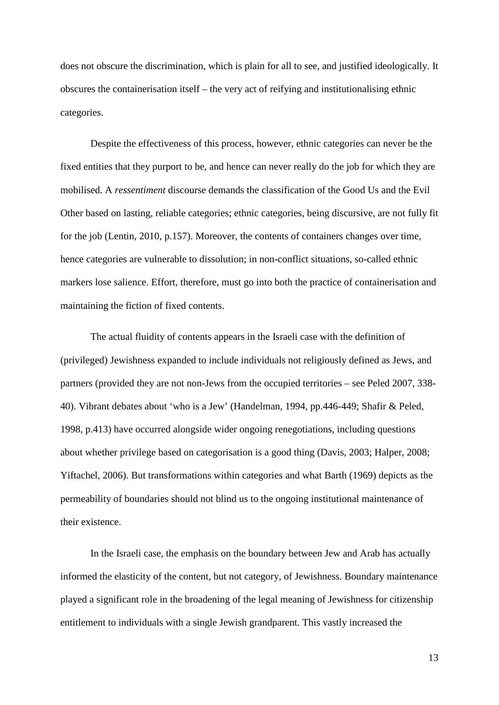does not obscure the discrimination, which is plain for all to see, and justified ideologically. It obscures the containerisation itself – the very act of reifying and institutionalising ethnic categories.

Despite the effectiveness of this process, however, ethnic categories can never be the fixed entities that they purport to be, and hence can never really do the job for which they are mobilised. A *ressentiment* discourse demands the classification of the Good Us and the Evil Other based on lasting, reliable categories; ethnic categories, being discursive, are not fully fit for the job (Lentin, 2010, p.157). Moreover, the contents of containers changes over time, hence categories are vulnerable to dissolution; in non-conflict situations, so-called ethnic markers lose salience. Effort, therefore, must go into both the practice of containerisation and maintaining the fiction of fixed contents.

The actual fluidity of contents appears in the Israeli case with the definition of (privileged) Jewishness expanded to include individuals not religiously defined as Jews, and partners (provided they are not non-Jews from the occupied territories – see Peled 2007, 338- 40). Vibrant debates about 'who is a Jew' (Handelman, 1994, pp.446-449; Shafir & Peled, 1998, p.413) have occurred alongside wider ongoing renegotiations, including questions about whether privilege based on categorisation is a good thing (Davis, 2003; Halper, 2008; Yiftachel, 2006). But transformations within categories and what Barth (1969) depicts as the permeability of boundaries should not blind us to the ongoing institutional maintenance of their existence.

In the Israeli case, the emphasis on the boundary between Jew and Arab has actually informed the elasticity of the content*,* but not category, of Jewishness. Boundary maintenance played a significant role in the broadening of the legal meaning of Jewishness for citizenship entitlement to individuals with a single Jewish grandparent. This vastly increased the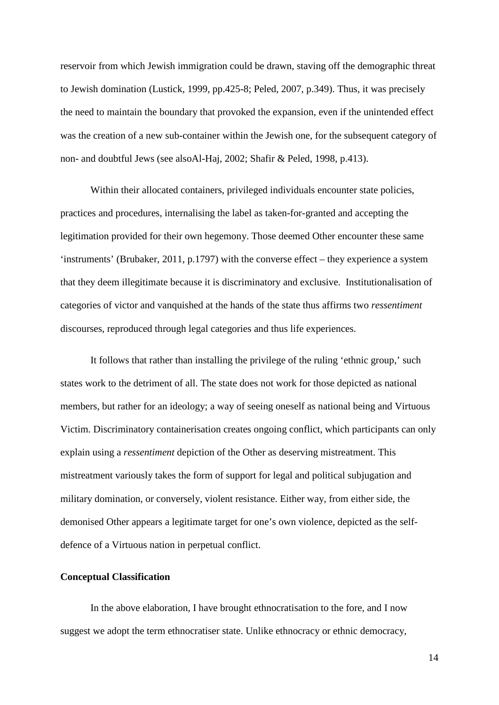reservoir from which Jewish immigration could be drawn, staving off the demographic threat to Jewish domination (Lustick, 1999, pp.425-8; Peled, 2007, p.349). Thus, it was precisely the need to maintain the boundary that provoked the expansion, even if the unintended effect was the creation of a new sub-container within the Jewish one, for the subsequent category of non- and doubtful Jews (see alsoAl-Haj, 2002; Shafir & Peled, 1998, p.413).

Within their allocated containers, privileged individuals encounter state policies, practices and procedures, internalising the label as taken-for-granted and accepting the legitimation provided for their own hegemony. Those deemed Other encounter these same 'instruments' (Brubaker, 2011, p.1797) with the converse effect – they experience a system that they deem illegitimate because it is discriminatory and exclusive. Institutionalisation of categories of victor and vanquished at the hands of the state thus affirms two *ressentiment*  discourses, reproduced through legal categories and thus life experiences.

It follows that rather than installing the privilege of the ruling 'ethnic group,' such states work to the detriment of all. The state does not work for those depicted as national members, but rather for an ideology; a way of seeing oneself as national being and Virtuous Victim. Discriminatory containerisation creates ongoing conflict, which participants can only explain using a *ressentiment* depiction of the Other as deserving mistreatment. This mistreatment variously takes the form of support for legal and political subjugation and military domination, or conversely, violent resistance. Either way, from either side, the demonised Other appears a legitimate target for one's own violence, depicted as the selfdefence of a Virtuous nation in perpetual conflict.

#### **Conceptual Classification**

In the above elaboration, I have brought ethnocratisation to the fore, and I now suggest we adopt the term ethnocratiser state. Unlike ethnocracy or ethnic democracy,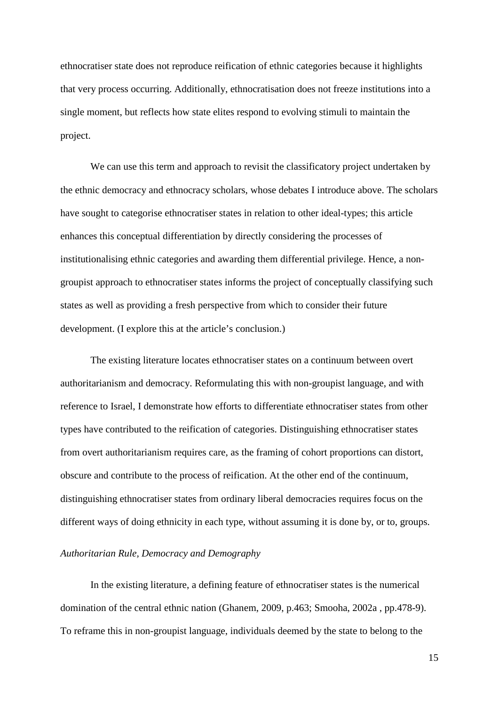ethnocratiser state does not reproduce reification of ethnic categories because it highlights that very process occurring. Additionally, ethnocratisation does not freeze institutions into a single moment, but reflects how state elites respond to evolving stimuli to maintain the project.

We can use this term and approach to revisit the classificatory project undertaken by the ethnic democracy and ethnocracy scholars, whose debates I introduce above. The scholars have sought to categorise ethnocratiser states in relation to other ideal-types; this article enhances this conceptual differentiation by directly considering the processes of institutionalising ethnic categories and awarding them differential privilege. Hence, a nongroupist approach to ethnocratiser states informs the project of conceptually classifying such states as well as providing a fresh perspective from which to consider their future development. (I explore this at the article's conclusion.)

The existing literature locates ethnocratiser states on a continuum between overt authoritarianism and democracy. Reformulating this with non-groupist language, and with reference to Israel, I demonstrate how efforts to differentiate ethnocratiser states from other types have contributed to the reification of categories. Distinguishing ethnocratiser states from overt authoritarianism requires care, as the framing of cohort proportions can distort, obscure and contribute to the process of reification. At the other end of the continuum, distinguishing ethnocratiser states from ordinary liberal democracies requires focus on the different ways of doing ethnicity in each type, without assuming it is done by, or to, groups.

## *Authoritarian Rule, Democracy and Demography*

In the existing literature, a defining feature of ethnocratiser states is the numerical domination of the central ethnic nation (Ghanem, 2009, p.463; Smooha, 2002a , pp.478-9). To reframe this in non-groupist language, individuals deemed by the state to belong to the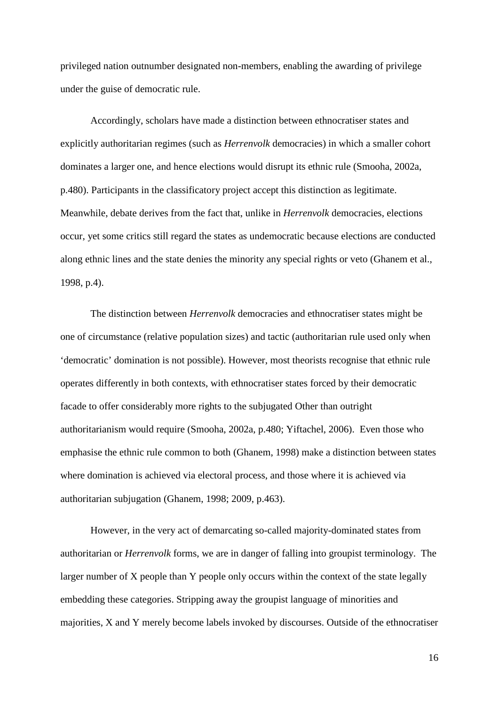privileged nation outnumber designated non-members, enabling the awarding of privilege under the guise of democratic rule.

Accordingly, scholars have made a distinction between ethnocratiser states and explicitly authoritarian regimes (such as *Herrenvolk* democracies) in which a smaller cohort dominates a larger one, and hence elections would disrupt its ethnic rule (Smooha, 2002a, p.480). Participants in the classificatory project accept this distinction as legitimate. Meanwhile, debate derives from the fact that, unlike in *Herrenvolk* democracies, elections occur, yet some critics still regard the states as undemocratic because elections are conducted along ethnic lines and the state denies the minority any special rights or veto (Ghanem et al., 1998, p.4).

The distinction between *Herrenvolk* democracies and ethnocratiser states might be one of circumstance (relative population sizes) and tactic (authoritarian rule used only when 'democratic' domination is not possible). However, most theorists recognise that ethnic rule operates differently in both contexts, with ethnocratiser states forced by their democratic facade to offer considerably more rights to the subjugated Other than outright authoritarianism would require (Smooha, 2002a, p.480; Yiftachel, 2006). Even those who emphasise the ethnic rule common to both (Ghanem, 1998) make a distinction between states where domination is achieved via electoral process, and those where it is achieved via authoritarian subjugation (Ghanem, 1998; 2009, p.463).

However, in the very act of demarcating so-called majority-dominated states from authoritarian or *Herrenvolk* forms, we are in danger of falling into groupist terminology. The larger number of X people than Y people only occurs within the context of the state legally embedding these categories. Stripping away the groupist language of minorities and majorities, X and Y merely become labels invoked by discourses. Outside of the ethnocratiser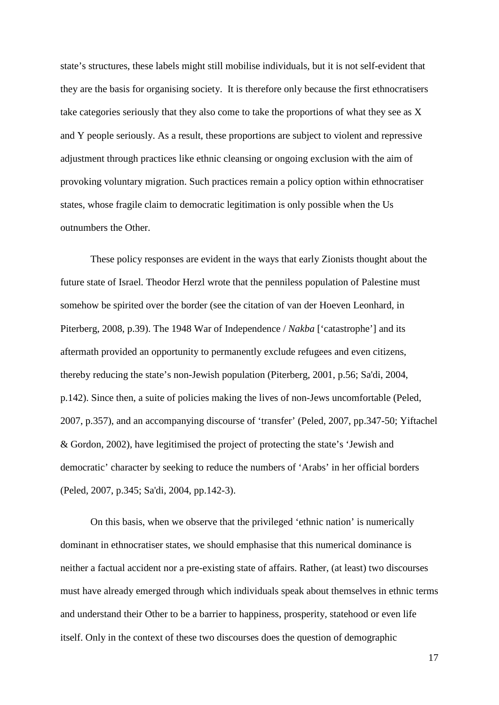state's structures, these labels might still mobilise individuals, but it is not self-evident that they are the basis for organising society. It is therefore only because the first ethnocratisers take categories seriously that they also come to take the proportions of what they see as X and Y people seriously. As a result, these proportions are subject to violent and repressive adjustment through practices like ethnic cleansing or ongoing exclusion with the aim of provoking voluntary migration. Such practices remain a policy option within ethnocratiser states, whose fragile claim to democratic legitimation is only possible when the Us outnumbers the Other.

These policy responses are evident in the ways that early Zionists thought about the future state of Israel. Theodor Herzl wrote that the penniless population of Palestine must somehow be spirited over the border (see the citation of van der Hoeven Leonhard, in Piterberg, 2008, p.39). The 1948 War of Independence / *Nakba* ['catastrophe'] and its aftermath provided an opportunity to permanently exclude refugees and even citizens, thereby reducing the state's non-Jewish population (Piterberg, 2001, p.56; Sa'di, 2004, p.142). Since then, a suite of policies making the lives of non-Jews uncomfortable (Peled, 2007, p.357), and an accompanying discourse of 'transfer' (Peled, 2007, pp.347-50; Yiftachel & Gordon, 2002), have legitimised the project of protecting the state's 'Jewish and democratic' character by seeking to reduce the numbers of 'Arabs' in her official borders (Peled, 2007, p.345; Sa'di, 2004, pp.142-3).

On this basis, when we observe that the privileged 'ethnic nation' is numerically dominant in ethnocratiser states, we should emphasise that this numerical dominance is neither a factual accident nor a pre-existing state of affairs. Rather, (at least) two discourses must have already emerged through which individuals speak about themselves in ethnic terms and understand their Other to be a barrier to happiness, prosperity, statehood or even life itself. Only in the context of these two discourses does the question of demographic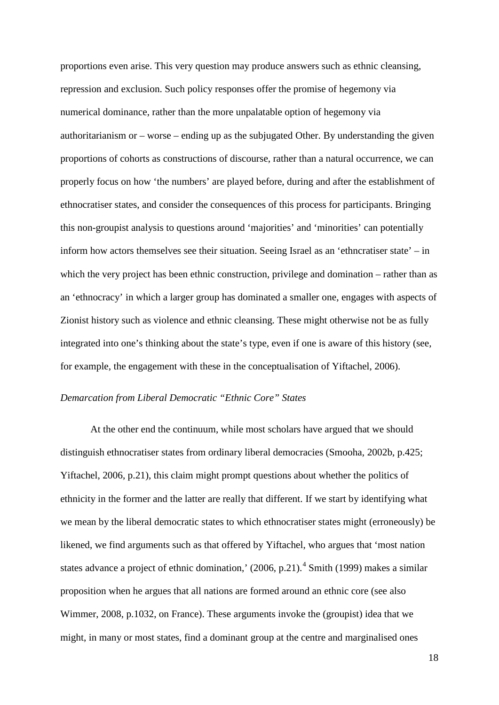proportions even arise. This very question may produce answers such as ethnic cleansing, repression and exclusion. Such policy responses offer the promise of hegemony via numerical dominance, rather than the more unpalatable option of hegemony via authoritarianism or  $-$  worse  $-$  ending up as the subjugated Other. By understanding the given proportions of cohorts as constructions of discourse, rather than a natural occurrence, we can properly focus on how 'the numbers' are played before, during and after the establishment of ethnocratiser states, and consider the consequences of this process for participants. Bringing this non-groupist analysis to questions around 'majorities' and 'minorities' can potentially inform how actors themselves see their situation. Seeing Israel as an 'ethncratiser state' – in which the very project has been ethnic construction, privilege and domination – rather than as an 'ethnocracy' in which a larger group has dominated a smaller one, engages with aspects of Zionist history such as violence and ethnic cleansing. These might otherwise not be as fully integrated into one's thinking about the state's type, even if one is aware of this history (see, for example, the engagement with these in the conceptualisation of Yiftachel, 2006).

#### *Demarcation from Liberal Democratic "Ethnic Core" States*

At the other end the continuum, while most scholars have argued that we should distinguish ethnocratiser states from ordinary liberal democracies (Smooha, 2002b, p.425; Yiftachel, 2006, p.21), this claim might prompt questions about whether the politics of ethnicity in the former and the latter are really that different. If we start by identifying what we mean by the liberal democratic states to which ethnocratiser states might (erroneously) be likened, we find arguments such as that offered by Yiftachel, who argues that 'most nation states advance a project of ethnic domination,' (2006, p.21).<sup>[4](#page-27-2)</sup> Smith (1999) makes a similar proposition when he argues that all nations are formed around an ethnic core (see also Wimmer, 2008, p.1032, on France). These arguments invoke the (groupist) idea that we might, in many or most states, find a dominant group at the centre and marginalised ones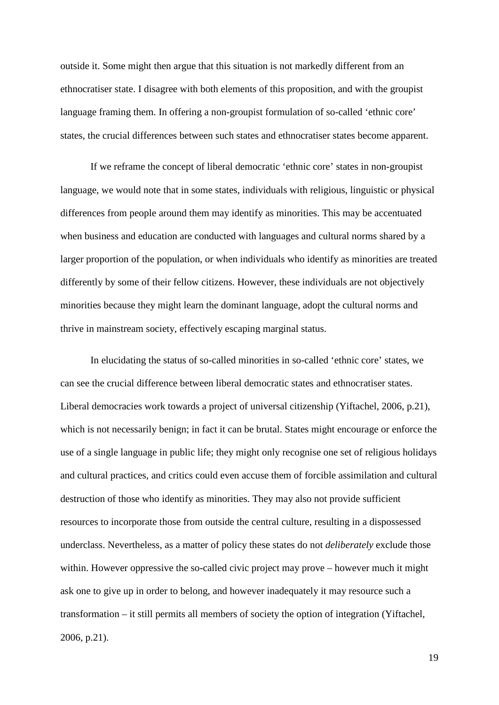outside it. Some might then argue that this situation is not markedly different from an ethnocratiser state. I disagree with both elements of this proposition, and with the groupist language framing them. In offering a non-groupist formulation of so-called 'ethnic core' states, the crucial differences between such states and ethnocratiser states become apparent.

If we reframe the concept of liberal democratic 'ethnic core' states in non-groupist language, we would note that in some states, individuals with religious, linguistic or physical differences from people around them may identify as minorities. This may be accentuated when business and education are conducted with languages and cultural norms shared by a larger proportion of the population, or when individuals who identify as minorities are treated differently by some of their fellow citizens. However, these individuals are not objectively minorities because they might learn the dominant language, adopt the cultural norms and thrive in mainstream society, effectively escaping marginal status.

In elucidating the status of so-called minorities in so-called 'ethnic core' states, we can see the crucial difference between liberal democratic states and ethnocratiser states. Liberal democracies work towards a project of universal citizenship (Yiftachel, 2006, p.21), which is not necessarily benign; in fact it can be brutal. States might encourage or enforce the use of a single language in public life; they might only recognise one set of religious holidays and cultural practices, and critics could even accuse them of forcible assimilation and cultural destruction of those who identify as minorities. They may also not provide sufficient resources to incorporate those from outside the central culture, resulting in a dispossessed underclass. Nevertheless, as a matter of policy these states do not *deliberately* exclude those within. However oppressive the so-called civic project may prove – however much it might ask one to give up in order to belong, and however inadequately it may resource such a transformation – it still permits all members of society the option of integration (Yiftachel, 2006, p.21).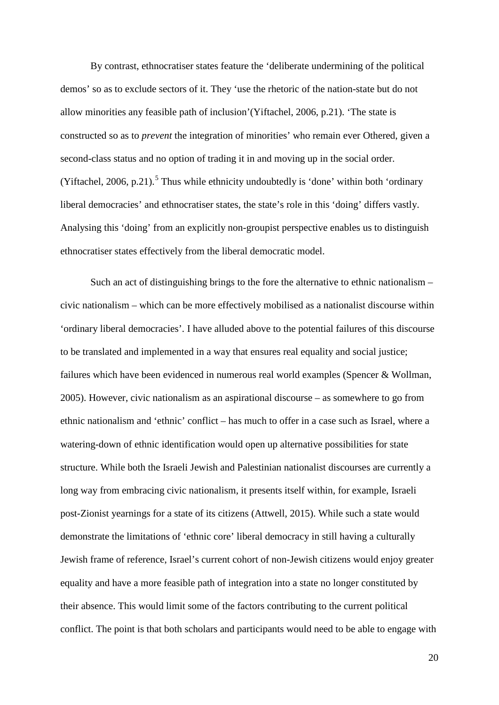By contrast, ethnocratiser states feature the 'deliberate undermining of the political demos' so as to exclude sectors of it. They 'use the rhetoric of the nation-state but do not allow minorities any feasible path of inclusion'(Yiftachel, 2006, p.21). 'The state is constructed so as to *prevent* the integration of minorities' who remain ever Othered, given a second-class status and no option of trading it in and moving up in the social order. (Yiftachel, 2006, p.21). [5](#page-27-3) Thus while ethnicity undoubtedly is 'done' within both 'ordinary liberal democracies' and ethnocratiser states, the state's role in this 'doing' differs vastly. Analysing this 'doing' from an explicitly non-groupist perspective enables us to distinguish ethnocratiser states effectively from the liberal democratic model.

Such an act of distinguishing brings to the fore the alternative to ethnic nationalism – civic nationalism – which can be more effectively mobilised as a nationalist discourse within 'ordinary liberal democracies'. I have alluded above to the potential failures of this discourse to be translated and implemented in a way that ensures real equality and social justice; failures which have been evidenced in numerous real world examples (Spencer & Wollman, 2005). However, civic nationalism as an aspirational discourse – as somewhere to go from ethnic nationalism and 'ethnic' conflict – has much to offer in a case such as Israel, where a watering-down of ethnic identification would open up alternative possibilities for state structure. While both the Israeli Jewish and Palestinian nationalist discourses are currently a long way from embracing civic nationalism, it presents itself within, for example, Israeli post-Zionist yearnings for a state of its citizens (Attwell, 2015). While such a state would demonstrate the limitations of 'ethnic core' liberal democracy in still having a culturally Jewish frame of reference, Israel's current cohort of non-Jewish citizens would enjoy greater equality and have a more feasible path of integration into a state no longer constituted by their absence. This would limit some of the factors contributing to the current political conflict. The point is that both scholars and participants would need to be able to engage with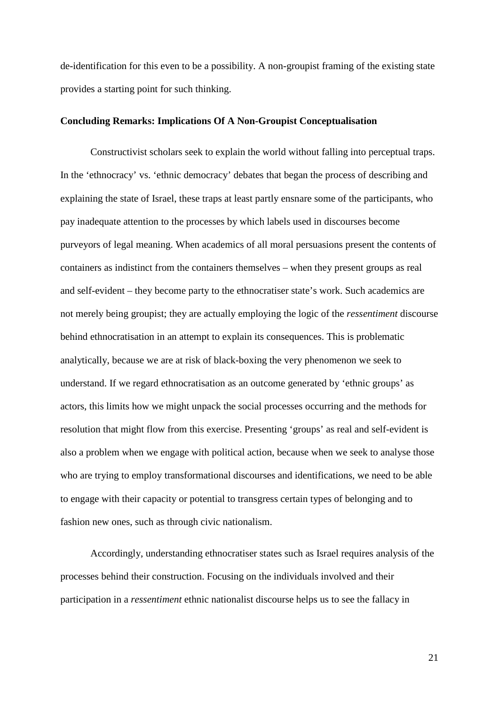de-identification for this even to be a possibility. A non-groupist framing of the existing state provides a starting point for such thinking.

#### **Concluding Remarks: Implications Of A Non-Groupist Conceptualisation**

Constructivist scholars seek to explain the world without falling into perceptual traps. In the 'ethnocracy' vs. 'ethnic democracy' debates that began the process of describing and explaining the state of Israel, these traps at least partly ensnare some of the participants, who pay inadequate attention to the processes by which labels used in discourses become purveyors of legal meaning. When academics of all moral persuasions present the contents of containers as indistinct from the containers themselves – when they present groups as real and self-evident – they become party to the ethnocratiser state's work. Such academics are not merely being groupist; they are actually employing the logic of the *ressentiment* discourse behind ethnocratisation in an attempt to explain its consequences. This is problematic analytically, because we are at risk of black-boxing the very phenomenon we seek to understand. If we regard ethnocratisation as an outcome generated by 'ethnic groups' as actors, this limits how we might unpack the social processes occurring and the methods for resolution that might flow from this exercise. Presenting 'groups' as real and self-evident is also a problem when we engage with political action, because when we seek to analyse those who are trying to employ transformational discourses and identifications, we need to be able to engage with their capacity or potential to transgress certain types of belonging and to fashion new ones, such as through civic nationalism.

Accordingly, understanding ethnocratiser states such as Israel requires analysis of the processes behind their construction. Focusing on the individuals involved and their participation in a *ressentiment* ethnic nationalist discourse helps us to see the fallacy in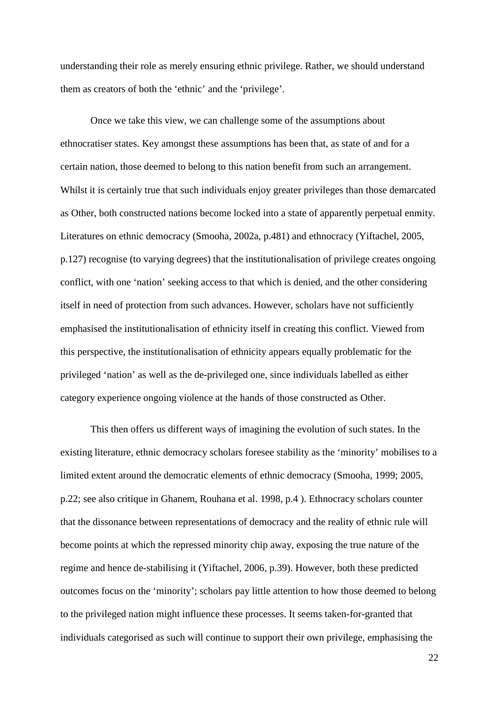understanding their role as merely ensuring ethnic privilege. Rather, we should understand them as creators of both the 'ethnic' and the 'privilege'.

Once we take this view, we can challenge some of the assumptions about ethnocratiser states. Key amongst these assumptions has been that, as state of and for a certain nation, those deemed to belong to this nation benefit from such an arrangement. Whilst it is certainly true that such individuals enjoy greater privileges than those demarcated as Other, both constructed nations become locked into a state of apparently perpetual enmity. Literatures on ethnic democracy (Smooha, 2002a, p.481) and ethnocracy (Yiftachel, 2005, p.127) recognise (to varying degrees) that the institutionalisation of privilege creates ongoing conflict, with one 'nation' seeking access to that which is denied, and the other considering itself in need of protection from such advances. However, scholars have not sufficiently emphasised the institutionalisation of ethnicity itself in creating this conflict. Viewed from this perspective, the institutionalisation of ethnicity appears equally problematic for the privileged 'nation' as well as the de-privileged one, since individuals labelled as either category experience ongoing violence at the hands of those constructed as Other.

This then offers us different ways of imagining the evolution of such states. In the existing literature, ethnic democracy scholars foresee stability as the 'minority' mobilises to a limited extent around the democratic elements of ethnic democracy (Smooha, 1999; 2005, p.22; see also critique in Ghanem, Rouhana et al. 1998, p.4 ). Ethnocracy scholars counter that the dissonance between representations of democracy and the reality of ethnic rule will become points at which the repressed minority chip away, exposing the true nature of the regime and hence de-stabilising it (Yiftachel, 2006, p.39). However, both these predicted outcomes focus on the 'minority'; scholars pay little attention to how those deemed to belong to the privileged nation might influence these processes. It seems taken-for-granted that individuals categorised as such will continue to support their own privilege, emphasising the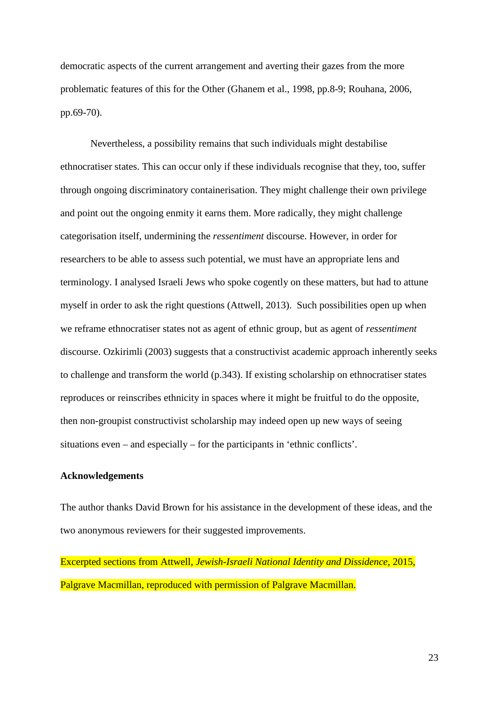democratic aspects of the current arrangement and averting their gazes from the more problematic features of this for the Other (Ghanem et al., 1998, pp.8-9; Rouhana, 2006, pp.69-70).

Nevertheless, a possibility remains that such individuals might destabilise ethnocratiser states. This can occur only if these individuals recognise that they, too, suffer through ongoing discriminatory containerisation. They might challenge their own privilege and point out the ongoing enmity it earns them. More radically, they might challenge categorisation itself, undermining the *ressentiment* discourse. However, in order for researchers to be able to assess such potential, we must have an appropriate lens and terminology. I analysed Israeli Jews who spoke cogently on these matters, but had to attune myself in order to ask the right questions (Attwell, 2013). Such possibilities open up when we reframe ethnocratiser states not as agent of ethnic group, but as agent of *ressentiment*  discourse. Ozkirimli (2003) suggests that a constructivist academic approach inherently seeks to challenge and transform the world (p.343). If existing scholarship on ethnocratiser states reproduces or reinscribes ethnicity in spaces where it might be fruitful to do the opposite, then non-groupist constructivist scholarship may indeed open up new ways of seeing situations even – and especially – for the participants in 'ethnic conflicts'.

## **Acknowledgements**

The author thanks David Brown for his assistance in the development of these ideas, and the two anonymous reviewers for their suggested improvements.

Excerpted sections from Attwell, *Jewish-Israeli National Identity and Dissidence*, 2015, Palgrave Macmillan, reproduced with permission of Palgrave Macmillan.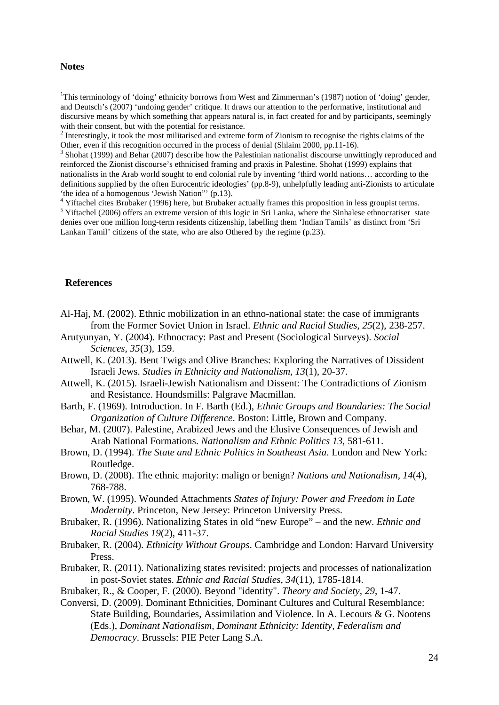### **Notes**

<sup>1</sup>This terminology of 'doing' ethnicity borrows from West and Zimmerman's (1987) notion of 'doing' gender, and Deutsch's (2007) 'undoing gender' critique. It draws our attention to the performative, institutional and discursive means by which something that appears natural is, in fact created for and by participants, seemingly with their consent, but with the potential for resistance.

<sup>2</sup> Interestingly, it took the most militarised and extreme form of Zionism to recognise the rights claims of the Other, even if this recognition occurred in the process of denial (Shlaim 2000, pp.11-16).

 $\frac{3}{3}$  Shohat (1999) and Behar (2007) describe how the Palestinian nationalist discourse unwittingly reproduced and reinforced the Zionist discourse's ethnicised framing and praxis in Palestine. Shohat (1999) explains that nationalists in the Arab world sought to end colonial rule by inventing 'third world nations… according to the definitions supplied by the often Eurocentric ideologies' (pp.8-9), unhelpfully leading anti-Zionists to articulate 'the idea of a homogenous 'Jewish Nation'' (p.13).

 $4$  Yiftachel cites Brubaker (1996) here, but Brubaker actually frames this proposition in less groupist terms. <sup>5</sup> Yiftachel (2006) offers an extreme version of this logic in Sri Lanka, where the Sinhalese ethnocratiser state denies over one million long-term residents citizenship, labelling them 'Indian Tamils' as distinct from 'Sri Lankan Tamil' citizens of the state, who are also Othered by the regime (p.23).

#### **References**

- Al-Haj, M. (2002). Ethnic mobilization in an ethno-national state: the case of immigrants from the Former Soviet Union in Israel. *Ethnic and Racial Studies, 25*(2), 238-257.
- Arutyunyan, Y. (2004). Ethnocracy: Past and Present (Sociological Surveys). *Social Sciences, 35*(3), 159.
- Attwell, K. (2013). Bent Twigs and Olive Branches: Exploring the Narratives of Dissident Israeli Jews. *Studies in Ethnicity and Nationalism, 13*(1), 20-37.
- Attwell, K. (2015). Israeli-Jewish Nationalism and Dissent: The Contradictions of Zionism and Resistance. Houndsmills: Palgrave Macmillan.
- Barth, F. (1969). Introduction. In F. Barth (Ed.), *Ethnic Groups and Boundaries: The Social Organization of Culture Difference*. Boston: Little, Brown and Company.
- Behar, M. (2007). Palestine, Arabized Jews and the Elusive Consequences of Jewish and Arab National Formations. *Nationalism and Ethnic Politics 13*, 581-611.
- Brown, D. (1994). *The State and Ethnic Politics in Southeast Asia*. London and New York: Routledge.
- Brown, D. (2008). The ethnic majority: malign or benign? *Nations and Nationalism, 14*(4), 768-788.
- Brown, W. (1995). Wounded Attachments *States of Injury: Power and Freedom in Late Modernity*. Princeton, New Jersey: Princeton University Press.
- Brubaker, R. (1996). Nationalizing States in old "new Europe" and the new. *Ethnic and Racial Studies 19*(2), 411-37.
- Brubaker, R. (2004). *Ethnicity Without Groups*. Cambridge and London: Harvard University Press.
- Brubaker, R. (2011). Nationalizing states revisited: projects and processes of nationalization in post-Soviet states. *Ethnic and Racial Studies, 34*(11), 1785-1814.
- Brubaker, R., & Cooper, F. (2000). Beyond "identity". *Theory and Society, 29*, 1-47.
- Conversi, D. (2009). Dominant Ethnicities, Dominant Cultures and Cultural Resemblance: State Building, Boundaries, Assimilation and Violence. In A. Lecours & G. Nootens (Eds.), *Dominant Nationalism, Dominant Ethnicity: Identity, Federalism and Democracy*. Brussels: PIE Peter Lang S.A.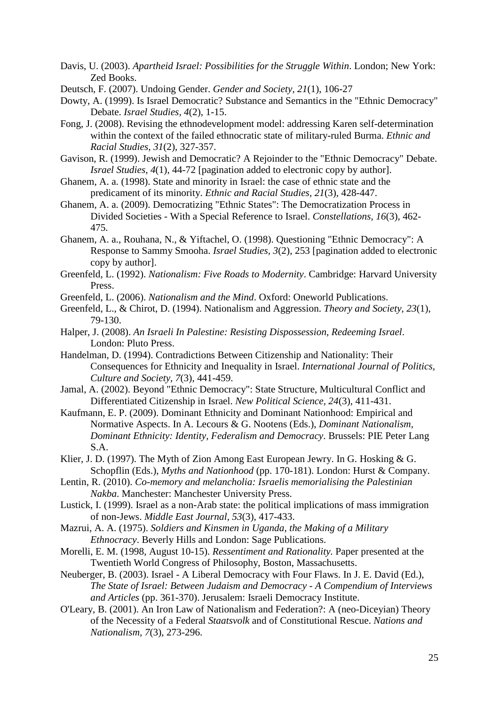- Davis, U. (2003). *Apartheid Israel: Possibilities for the Struggle Within*. London; New York: Zed Books.
- Deutsch, F. (2007). Undoing Gender. *Gender and Society, 21*(1), 106-27
- Dowty, A. (1999). Is Israel Democratic? Substance and Semantics in the "Ethnic Democracy" Debate. *Israel Studies, 4*(2), 1-15.
- Fong, J. (2008). Revising the ethnodevelopment model: addressing Karen self-determination within the context of the failed ethnocratic state of military-ruled Burma. *Ethnic and Racial Studies, 31*(2), 327-357.
- Gavison, R. (1999). Jewish and Democratic? A Rejoinder to the "Ethnic Democracy" Debate. *Israel Studies, 4*(1), 44-72 [pagination added to electronic copy by author].
- Ghanem, A. a. (1998). State and minority in Israel: the case of ethnic state and the predicament of its minority. *Ethnic and Racial Studies, 21*(3), 428-447.
- Ghanem, A. a. (2009). Democratizing "Ethnic States": The Democratization Process in Divided Societies - With a Special Reference to Israel. *Constellations, 16*(3), 462- 475.
- Ghanem, A. a., Rouhana, N., & Yiftachel, O. (1998). Questioning "Ethnic Democracy": A Response to Sammy Smooha. *Israel Studies, 3*(2), 253 [pagination added to electronic copy by author].
- Greenfeld, L. (1992). *Nationalism: Five Roads to Modernity*. Cambridge: Harvard University Press.
- Greenfeld, L. (2006). *Nationalism and the Mind*. Oxford: Oneworld Publications.
- Greenfeld, L., & Chirot, D. (1994). Nationalism and Aggression. *Theory and Society, 23*(1), 79-130.
- Halper, J. (2008). *An Israeli In Palestine: Resisting Dispossession, Redeeming Israel*. London: Pluto Press.
- Handelman, D. (1994). Contradictions Between Citizenship and Nationality: Their Consequences for Ethnicity and Inequality in Israel. *International Journal of Politics, Culture and Society, 7*(3), 441-459.
- Jamal, A. (2002). Beyond "Ethnic Democracy": State Structure, Multicultural Conflict and Differentiated Citizenship in Israel. *New Political Science, 24*(3), 411-431.
- Kaufmann, E. P. (2009). Dominant Ethnicity and Dominant Nationhood: Empirical and Normative Aspects. In A. Lecours & G. Nootens (Eds.), *Dominant Nationalism, Dominant Ethnicity: Identity, Federalism and Democracy*. Brussels: PIE Peter Lang S.A.
- Klier, J. D. (1997). The Myth of Zion Among East European Jewry. In G. Hosking & G. Schopflin (Eds.), *Myths and Nationhood* (pp. 170-181). London: Hurst & Company.
- Lentin, R. (2010). *Co-memory and melancholia: Israelis memorialising the Palestinian Nakba*. Manchester: Manchester University Press.
- Lustick, I. (1999). Israel as a non-Arab state: the political implications of mass immigration of non-Jews. *Middle East Journal, 53*(3), 417-433.
- Mazrui, A. A. (1975). *Soldiers and Kinsmen in Uganda, the Making of a Military Ethnocracy*. Beverly Hills and London: Sage Publications.
- Morelli, E. M. (1998, August 10-15). *Ressentiment and Rationality.* Paper presented at the Twentieth World Congress of Philosophy, Boston, Massachusetts.
- Neuberger, B. (2003). Israel A Liberal Democracy with Four Flaws. In J. E. David (Ed.), *The State of Israel: Between Judaism and Democracy - A Compendium of Interviews and Articles* (pp. 361-370). Jerusalem: Israeli Democracy Institute.
- O'Leary, B. (2001). An Iron Law of Nationalism and Federation?: A (neo-Diceyian) Theory of the Necessity of a Federal *Staatsvolk* and of Constitutional Rescue. *Nations and Nationalism, 7*(3), 273-296.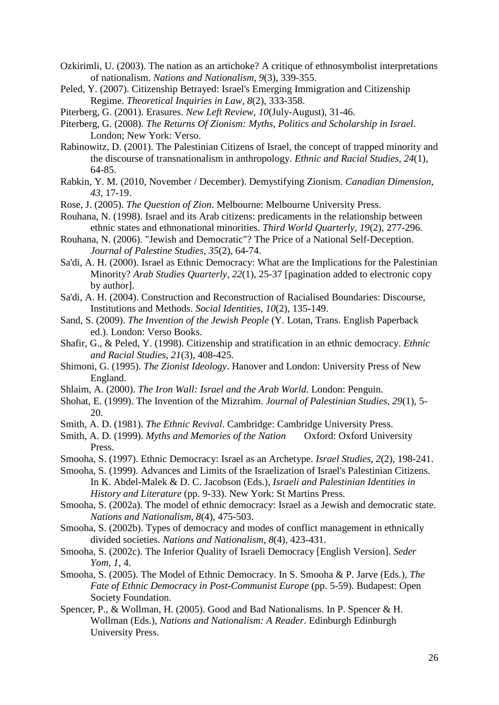Ozkirimli, U. (2003). The nation as an artichoke? A critique of ethnosymbolist interpretations of nationalism. *Nations and Nationalism, 9*(3), 339-355.

- Peled, Y. (2007). Citizenship Betrayed: Israel's Emerging Immigration and Citizenship Regime. *Theoretical Inquiries in Law, 8*(2), 333-358.
- Piterberg, G. (2001). Erasures. *New Left Review, 10*(July-August), 31-46.
- Piterberg, G. (2008). *The Returns Of Zionism: Myths, Politics and Scholarship in Israel*. London; New York: Verso.
- Rabinowitz, D. (2001). The Palestinian Citizens of Israel, the concept of trapped minority and the discourse of transnationalism in anthropology. *Ethnic and Racial Studies, 24*(1), 64-85.
- Rabkin, Y. M. (2010, November / December). Demystifying Zionism. *Canadian Dimension, 43,* 17-19.
- Rose, J. (2005). *The Question of Zion*. Melbourne: Melbourne University Press.
- Rouhana, N. (1998). Israel and its Arab citizens: predicaments in the relationship between ethnic states and ethnonational minorities. *Third World Quarterly, 19*(2), 277-296.
- Rouhana, N. (2006). "Jewish and Democratic"? The Price of a National Self-Deception. *Journal of Palestine Studies, 35*(2), 64-74.
- Sa'di, A. H. (2000). Israel as Ethnic Democracy: What are the Implications for the Palestinian Minority? *Arab Studies Quarterly, 22*(1), 25-37 [pagination added to electronic copy by author].
- Sa'di, A. H. (2004). Construction and Reconstruction of Racialised Boundaries: Discourse, Institutions and Methods. *Social Identities, 10*(2), 135-149.
- Sand, S. (2009). *The Invention of the Jewish People* (Y. Lotan, Trans. English Paperback ed.). London: Verso Books.
- Shafir, G., & Peled, Y. (1998). Citizenship and stratification in an ethnic democracy. *Ethnic and Racial Studies, 21*(3), 408-425.
- <span id="page-26-0"></span>Shimoni, G. (1995). *The Zionist Ideology*. Hanover and London: University Press of New England.
- Shlaim, A. (2000). *The Iron Wall: Israel and the Arab World*. London: Penguin.
- Shohat, E. (1999). The Invention of the Mizrahim. *Journal of Palestinian Studies, 29*(1), 5- 20.
- Smith, A. D. (1981). *The Ethnic Revival*. Cambridge: Cambridge University Press.
- Smith, A. D. (1999). *Myths and Memories of the Nation* Oxford: Oxford University Press.
- Smooha, S. (1997). Ethnic Democracy: Israel as an Archetype. *Israel Studies, 2*(2), 198-241.
- Smooha, S. (1999). Advances and Limits of the Israelization of Israel's Palestinian Citizens. In K. Abdel-Malek & D. C. Jacobson (Eds.), *Israeli and Palestinian Identities in History and Literature* (pp. 9-33). New York: St Martins Press.
- Smooha, S. (2002a). The model of ethnic democracy: Israel as a Jewish and democratic state. *Nations and Nationalism, 8*(4), 475-503.
- Smooha, S. (2002b). Types of democracy and modes of conflict management in ethnically divided societies. *Nations and Nationalism, 8*(4), 423-431.
- Smooha, S. (2002c). The Inferior Quality of Israeli Democracy [English Version]. *Seder Yom, 1*, 4.
- Smooha, S. (2005). The Model of Ethnic Democracy. In S. Smooha & P. Jarve (Eds.), *The Fate of Ethnic Democracy in Post-Communist Europe* (pp. 5-59). Budapest: Open Society Foundation.
- Spencer, P., & Wollman, H. (2005). Good and Bad Nationalisms. In P. Spencer & H. Wollman (Eds.), *Nations and Nationalism: A Reader*. Edinburgh Edinburgh University Press.